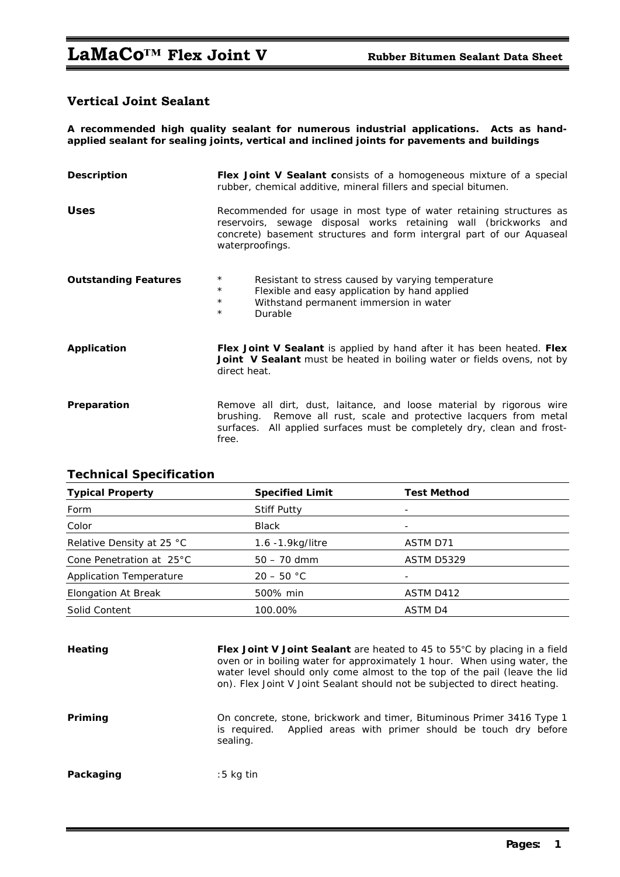# **Vertical Joint Sealant**

**A recommended high quality sealant for numerous industrial applications. Acts as handapplied sealant for sealing joints, vertical and inclined joints for pavements and buildings** 

| <b>Description</b>          | <b>Flex Joint V Sealant consists of a homogeneous mixture of a special</b><br>rubber, chemical additive, mineral fillers and special bitumen.                                                                                       |  |  |
|-----------------------------|-------------------------------------------------------------------------------------------------------------------------------------------------------------------------------------------------------------------------------------|--|--|
| <b>Uses</b>                 | Recommended for usage in most type of water retaining structures as<br>reservoirs, sewage disposal works retaining wall (brickworks and<br>concrete) basement structures and form intergral part of our Aquaseal<br>waterproofings. |  |  |
| <b>Outstanding Features</b> | $\star$<br>Resistant to stress caused by varying temperature<br>$\star$<br>Flexible and easy application by hand applied<br>$\star$<br>Withstand permanent immersion in water<br>$\star$<br>Durable                                 |  |  |
| Application                 | Flex Joint V Sealant is applied by hand after it has been heated. Flex<br><b>Joint V Sealant</b> must be heated in boiling water or fields ovens, not by<br>direct heat.                                                            |  |  |
| Preparation                 | Remove all dirt, dust, laitance, and loose material by rigorous wire<br>Remove all rust, scale and protective lacquers from metal<br>brushing.<br>surfaces. All applied surfaces must be completely dry, clean and frost-<br>free.  |  |  |

| <b>Typical Property</b>        | <b>Specified Limit</b> | <b>Test Method</b> |  |  |
|--------------------------------|------------------------|--------------------|--|--|
| Form                           | <b>Stiff Putty</b>     | -                  |  |  |
| Color                          | <b>Black</b>           |                    |  |  |
| Relative Density at 25 °C      | 1.6 -1.9 kg/litre      | ASTM D71           |  |  |
| Cone Penetration at 25°C       | $50 - 70$ dmm          | ASTM D5329         |  |  |
| <b>Application Temperature</b> | $20 - 50 °C$           |                    |  |  |
| Elongation At Break            | 500% min               | ASTM D412          |  |  |
| Solid Content                  | 100.00%                | ASTM D4            |  |  |
|                                |                        |                    |  |  |

## **Technical Specification**

Heating Flex Joint V Joint Sealant are heated to 45 to 55°C by placing in a field oven or in boiling water for approximately 1 hour. When using water, the water level should only come almost to the top of the pail (leave the lid on). Flex Joint V Joint Sealant should not be subjected to direct heating.

**Priming Dena** Concrete, stone, brickwork and timer, Bituminous Primer 3416 Type 1 is required. Applied areas with primer should be touch dry before sealing.

**Packaging** :5 kg tin